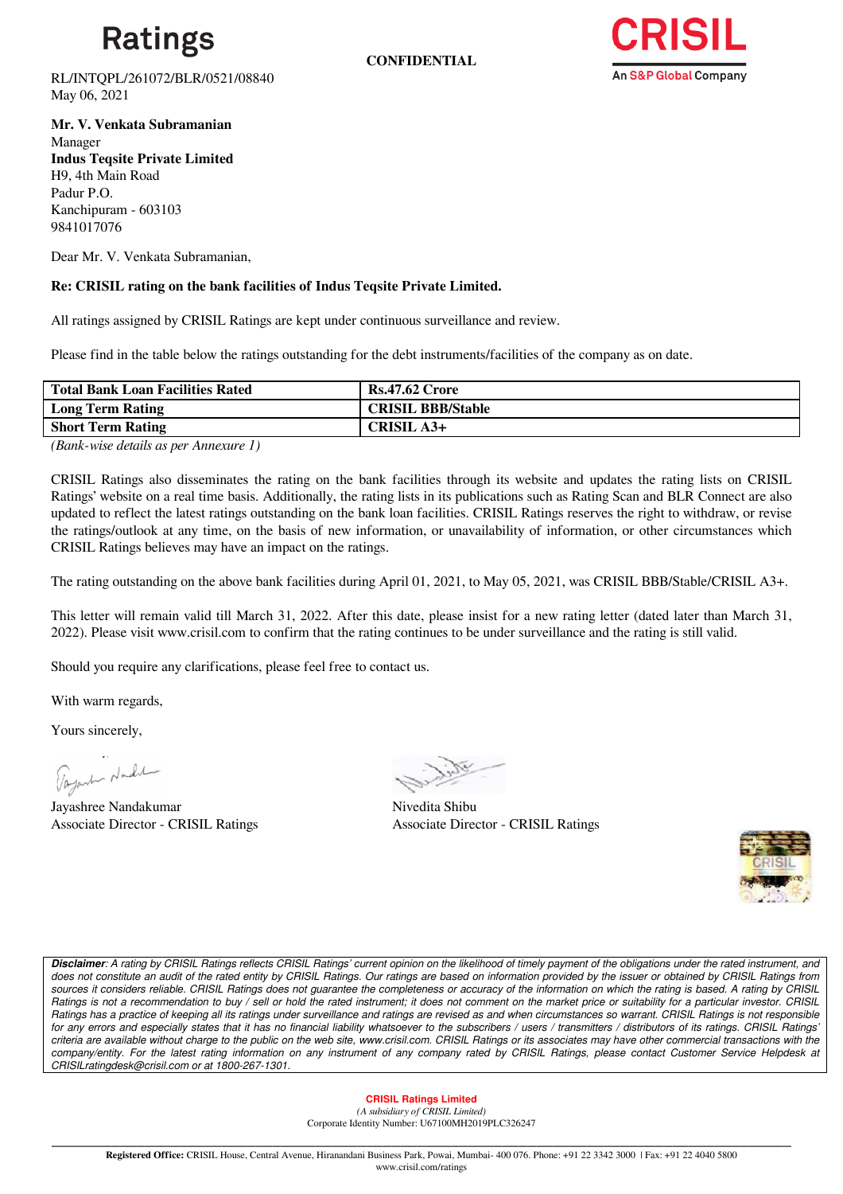

**CONFIDENTIAL**



RL/INTQPL/261072/BLR/0521/08840 May 06, 2021

**Mr. V. Venkata Subramanian** Manager **Indus Teqsite Private Limited** H9, 4th Main Road Padur P.O. Kanchipuram - 603103 9841017076

Dear Mr. V. Venkata Subramanian,

## **Re: CRISIL rating on the bank facilities of Indus Teqsite Private Limited.**

All ratings assigned by CRISIL Ratings are kept under continuous surveillance and review.

Please find in the table below the ratings outstanding for the debt instruments/facilities of the company as on date.

| <b>Total Bank Loan Facilities Rated</b> | <b>Rs.47.62 Crore</b>    |
|-----------------------------------------|--------------------------|
| <b>Long Term Rating</b>                 | <b>CRISIL BBB/Stable</b> |
| <b>Short Term Rating</b>                | <b>CRISIL A3+</b>        |
|                                         |                          |

*(Bank-wise details as per Annexure 1)*

CRISIL Ratings also disseminates the rating on the bank facilities through its website and updates the rating lists on CRISIL Ratings' website on a real time basis. Additionally, the rating lists in its publications such as Rating Scan and BLR Connect are also updated to reflect the latest ratings outstanding on the bank loan facilities. CRISIL Ratings reserves the right to withdraw, or revise the ratings/outlook at any time, on the basis of new information, or unavailability of information, or other circumstances which CRISIL Ratings believes may have an impact on the ratings.

The rating outstanding on the above bank facilities during April 01, 2021, to May 05, 2021, was CRISIL BBB/Stable/CRISIL A3+.

This letter will remain valid till March 31, 2022. After this date, please insist for a new rating letter (dated later than March 31, 2022). Please visit www.crisil.com to confirm that the rating continues to be under surveillance and the rating is still valid.

Should you require any clarifications, please feel free to contact us.

With warm regards,

Yours sincerely,

Tayant Nade

Jayashree Nandakumar Nivedita Shibu Associate Director - CRISIL Ratings

Associate Director - CRISIL Ratings



*Disclaimer: A rating by CRISIL Ratings reflects CRISIL Ratings' current opinion on the likelihood of timely payment of the obligations under the rated instrument, and does not constitute an audit of the rated entity by CRISIL Ratings. Our ratings are based on information provided by the issuer or obtained by CRISIL Ratings from sources it considers reliable. CRISIL Ratings does not guarantee the completeness or accuracy of the information on which the rating is based. A rating by CRISIL Ratings is not a recommendation to buy / sell or hold the rated instrument; it does not comment on the market price or suitability for a particular investor. CRISIL Ratings has a practice of keeping all its ratings under surveillance and ratings are revised as and when circumstances so warrant. CRISIL Ratings is not responsible for any errors and especially states that it has no financial liability whatsoever to the subscribers / users / transmitters / distributors of its ratings. CRISIL Ratings' criteria are available without charge to the public on the web site, www.crisil.com. CRISIL Ratings or its associates may have other commercial transactions with the*  company/entity. For the latest rating information on any instrument of any company rated by CRISIL Ratings, please contact Customer Service Helpdesk at *CRISILratingdesk@crisil.com or at 1800-267-1301.*

### **CRISIL Ratings Limited**

*(A subsidiary of CRISIL Limited)*  Corporate Identity Number: U67100MH2019PLC326247